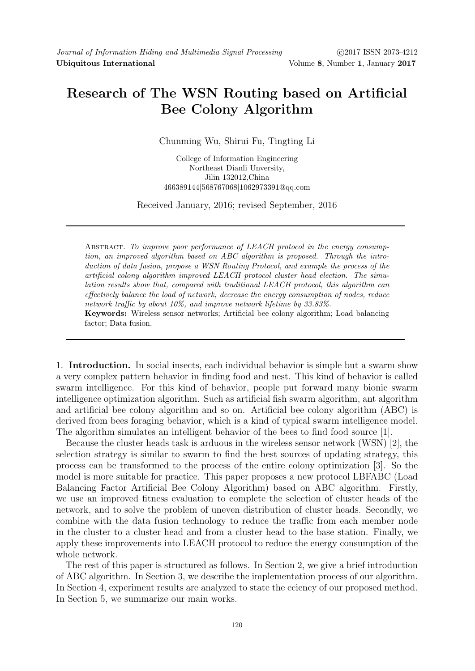## Research of The WSN Routing based on Artificial Bee Colony Algorithm

Chunming Wu, Shirui Fu, Tingting Li

College of Information Engineering Northeast Dianli Unversity, Jilin 132012,China 466389144|568767068|1062973391@qq.com

Received January, 2016; revised September, 2016

ABSTRACT. To improve poor performance of LEACH protocol in the energy consumption, an improved algorithm based on ABC algorithm is proposed. Through the introduction of data fusion, propose a WSN Routing Protocol, and example the process of the artificial colony algorithm improved LEACH protocol cluster head election. The simulation results show that, compared with traditional LEACH protocol, this algorithm can effectively balance the load of network, decrease the energy consumption of nodes, reduce network traffic by about 10%, and improve network lifetime by 33.83%.

Keywords: Wireless sensor networks; Artificial bee colony algorithm; Load balancing factor; Data fusion.

1. Introduction. In social insects, each individual behavior is simple but a swarm show a very complex pattern behavior in finding food and nest. This kind of behavior is called swarm intelligence. For this kind of behavior, people put forward many bionic swarm intelligence optimization algorithm. Such as artificial fish swarm algorithm, ant algorithm and artificial bee colony algorithm and so on. Artificial bee colony algorithm (ABC) is derived from bees foraging behavior, which is a kind of typical swarm intelligence model. The algorithm simulates an intelligent behavior of the bees to find food source [1].

Because the cluster heads task is arduous in the wireless sensor network (WSN) [2], the selection strategy is similar to swarm to find the best sources of updating strategy, this process can be transformed to the process of the entire colony optimization [3]. So the model is more suitable for practice. This paper proposes a new protocol LBFABC (Load Balancing Factor Artificial Bee Colony Algorithm) based on ABC algorithm. Firstly, we use an improved fitness evaluation to complete the selection of cluster heads of the network, and to solve the problem of uneven distribution of cluster heads. Secondly, we combine with the data fusion technology to reduce the traffic from each member node in the cluster to a cluster head and from a cluster head to the base station. Finally, we apply these improvements into LEACH protocol to reduce the energy consumption of the whole network.

The rest of this paper is structured as follows. In Section 2, we give a brief introduction of ABC algorithm. In Section 3, we describe the implementation process of our algorithm. In Section 4, experiment results are analyzed to state the eciency of our proposed method. In Section 5, we summarize our main works.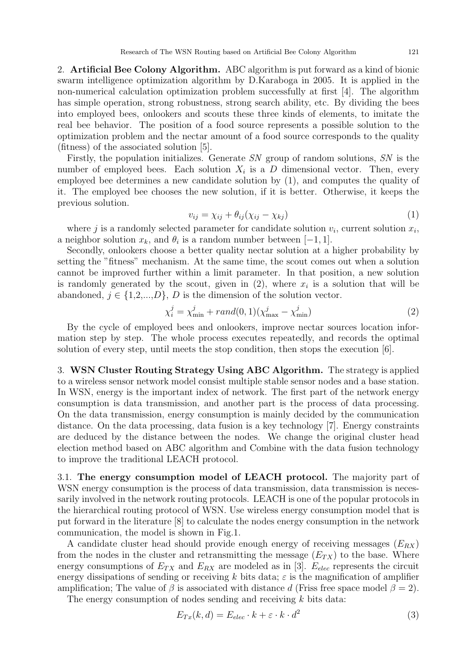2. Artificial Bee Colony Algorithm. ABC algorithm is put forward as a kind of bionic swarm intelligence optimization algorithm by D.Karaboga in 2005. It is applied in the non-numerical calculation optimization problem successfully at first [4]. The algorithm has simple operation, strong robustness, strong search ability, etc. By dividing the bees into employed bees, onlookers and scouts these three kinds of elements, to imitate the real bee behavior. The position of a food source represents a possible solution to the optimization problem and the nectar amount of a food source corresponds to the quality (fitness) of the associated solution [5].

Firstly, the population initializes. Generate SN group of random solutions, SN is the number of employed bees. Each solution  $X_i$  is a D dimensional vector. Then, every employed bee determines a new candidate solution by (1), and computes the quality of it. The employed bee chooses the new solution, if it is better. Otherwise, it keeps the previous solution.

$$
v_{ij} = \chi_{ij} + \theta_{ij}(\chi_{ij} - \chi_{kj})
$$
\n(1)

where j is a randomly selected parameter for candidate solution  $v_i$ , current solution  $x_i$ , a neighbor solution  $x_k$ , and  $\theta_i$  is a random number between  $[-1, 1]$ .

Secondly, onlookers choose a better quality nectar solution at a higher probability by setting the "fitness" mechanism. At the same time, the scout comes out when a solution cannot be improved further within a limit parameter. In that position, a new solution is randomly generated by the scout, given in  $(2)$ , where  $x_i$  is a solution that will be abandoned,  $j \in \{1,2,...,D\}$ , D is the dimension of the solution vector.

$$
\chi_i^j = \chi_{\min}^j + rand(0, 1)(\chi_{\max}^j - \chi_{\min}^j)
$$
\n(2)

By the cycle of employed bees and onlookers, improve nectar sources location information step by step. The whole process executes repeatedly, and records the optimal solution of every step, until meets the stop condition, then stops the execution [6].

3. WSN Cluster Routing Strategy Using ABC Algorithm. The strategy is applied to a wireless sensor network model consist multiple stable sensor nodes and a base station. In WSN, energy is the important index of network. The first part of the network energy consumption is data transmission, and another part is the process of data processing. On the data transmission, energy consumption is mainly decided by the communication distance. On the data processing, data fusion is a key technology [7]. Energy constraints are deduced by the distance between the nodes. We change the original cluster head election method based on ABC algorithm and Combine with the data fusion technology to improve the traditional LEACH protocol.

3.1. The energy consumption model of LEACH protocol. The majority part of WSN energy consumption is the process of data transmission, data transmission is necessarily involved in the network routing protocols. LEACH is one of the popular protocols in the hierarchical routing protocol of WSN. Use wireless energy consumption model that is put forward in the literature [8] to calculate the nodes energy consumption in the network communication, the model is shown in Fig.1.

A candidate cluster head should provide enough energy of receiving messages  $(E_{RX})$ from the nodes in the cluster and retransmitting the message  $(E_{TX})$  to the base. Where energy consumptions of  $E_{TX}$  and  $E_{RX}$  are modeled as in [3].  $E_{elec}$  represents the circuit energy dissipations of sending or receiving k bits data;  $\varepsilon$  is the magnification of amplifier amplification; The value of  $\beta$  is associated with distance d (Friss free space model  $\beta = 2$ ).

The energy consumption of nodes sending and receiving  $k$  bits data:

$$
E_{Tx}(k,d) = E_{elec} \cdot k + \varepsilon \cdot k \cdot d^2 \tag{3}
$$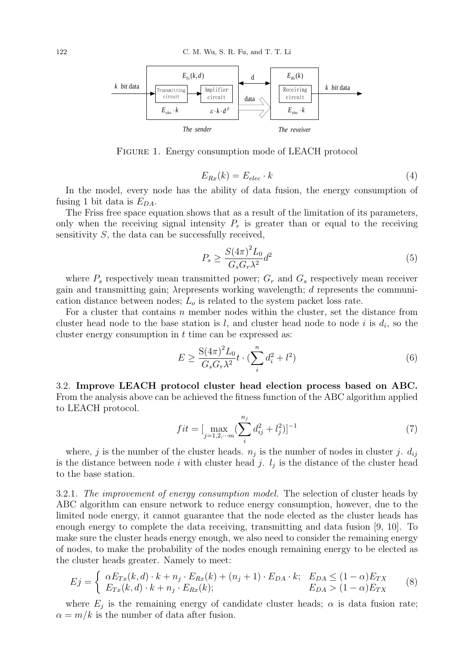

Figure 1. Energy consumption mode of LEACH protocol

$$
E_{Rx}(k) = E_{elec} \cdot k \tag{4}
$$

In the model, every node has the ability of data fusion, the energy consumption of fusing 1 bit data is  $E_{DA}$ .

The Friss free space equation shows that as a result of the limitation of its parameters, only when the receiving signal intensity  $P_r$  is greater than or equal to the receiving sensitivity  $S$ , the data can be successfully received,

$$
P_s \ge \frac{S(4\pi)^2 L_0}{G_s G_r \lambda^2} d^2 \tag{5}
$$

where  $P_s$  respectively mean transmitted power;  $G_r$  and  $G_s$  respectively mean receiver gain and transmitting gain;  $\lambda$  represents working wavelength; d represents the communication distance between nodes;  $L<sub>o</sub>$  is related to the system packet loss rate.

For a cluster that contains  $n$  member nodes within the cluster, set the distance from cluster head node to the base station is l, and cluster head node to node i is  $d_i$ , so the cluster energy consumption in  $t$  time can be expressed as:

$$
E \ge \frac{S(4\pi)^2 L_0}{G_s G_r \lambda^2} t \cdot (\sum_i^n d_i^2 + l^2)
$$
\n(6)

3.2. Improve LEACH protocol cluster head election process based on ABC. From the analysis above can be achieved the fitness function of the ABC algorithm applied to LEACH protocol.

$$
fit = \left[\max_{j=1,2,\cdots m} \left(\sum_{i=1}^{n_j} d_{ij}^2 + l_j^2\right)\right]^{-1} \tag{7}
$$

where, j is the number of the cluster heads.  $n_j$  is the number of nodes in cluster j.  $d_{ij}$ is the distance between node i with cluster head j.  $l_j$  is the distance of the cluster head to the base station.

3.2.1. The improvement of energy consumption model. The selection of cluster heads by ABC algorithm can ensure network to reduce energy consumption, however, due to the limited node energy, it cannot guarantee that the node elected as the cluster heads has enough energy to complete the data receiving, transmitting and data fusion [9, 10]. To make sure the cluster heads energy enough, we also need to consider the remaining energy of nodes, to make the probability of the nodes enough remaining energy to be elected as the cluster heads greater. Namely to meet:

$$
Ej = \begin{cases} \alpha E_{Tx}(k,d) \cdot k + n_j \cdot E_{Rx}(k) + (n_j + 1) \cdot E_{DA} \cdot k; & E_{DA} \le (1 - \alpha) E_{TX} \\ E_{Tx}(k,d) \cdot k + n_j \cdot E_{Rx}(k); & E_{DA} > (1 - \alpha) E_{TX} \end{cases} \tag{8}
$$

where  $E_j$  is the remaining energy of candidate cluster heads;  $\alpha$  is data fusion rate;  $\alpha = m/k$  is the number of data after fusion.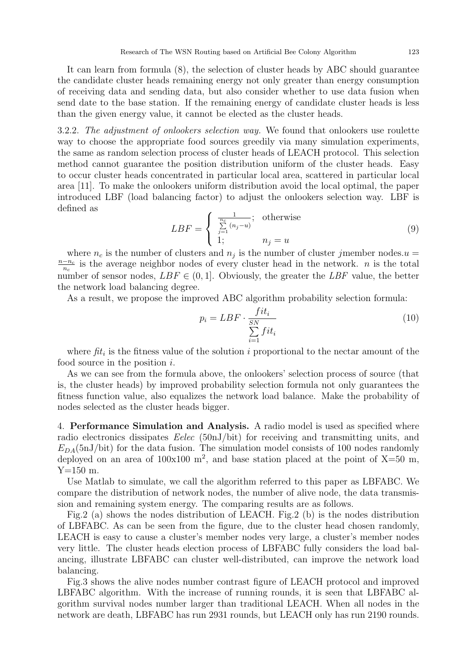It can learn from formula (8), the selection of cluster heads by ABC should guarantee the candidate cluster heads remaining energy not only greater than energy consumption of receiving data and sending data, but also consider whether to use data fusion when send date to the base station. If the remaining energy of candidate cluster heads is less than the given energy value, it cannot be elected as the cluster heads.

3.2.2. The adjustment of onlookers selection way. We found that onlookers use roulette way to choose the appropriate food sources greedily via many simulation experiments, the same as random selection process of cluster heads of LEACH protocol. This selection method cannot guarantee the position distribution uniform of the cluster heads. Easy to occur cluster heads concentrated in particular local area, scattered in particular local area [11]. To make the onlookers uniform distribution avoid the local optimal, the paper introduced LBF (load balancing factor) to adjust the onlookers selection way. LBF is defined as

$$
LBF = \begin{cases} \frac{1}{\sum\limits_{j=1}^{n_c} (n_j - u)}; & \text{otherwise} \\ 1; & n_j = u \end{cases}
$$
 (9)

where  $n_c$  is the number of clusters and  $n_j$  is the number of cluster jmember nodes.  $u =$  $n-n_c$  $\frac{-n_c}{n_c}$  is the average neighbor nodes of every cluster head in the network. *n* is the total number of sensor nodes,  $LBF \in (0,1]$ . Obviously, the greater the  $LBF$  value, the better the network load balancing degree.

As a result, we propose the improved ABC algorithm probability selection formula:

$$
p_i = LBF \cdot \frac{fit_i}{\sum\limits_{i=1}^{SN} fit_i}
$$
\n(10)

where  $\hat{f}t_i$  is the fitness value of the solution i proportional to the nectar amount of the food source in the position  $i$ .

As we can see from the formula above, the onlookers' selection process of source (that is, the cluster heads) by improved probability selection formula not only guarantees the fitness function value, also equalizes the network load balance. Make the probability of nodes selected as the cluster heads bigger.

4. Performance Simulation and Analysis. A radio model is used as specified where radio electronics dissipates Eelec (50nJ/bit) for receiving and transmitting units, and  $E_{DA}(5nJ/bit)$  for the data fusion. The simulation model consists of 100 nodes randomly deployed on an area of  $100x100$  m<sup>2</sup>, and base station placed at the point of X=50 m, Y=150 m.

Use Matlab to simulate, we call the algorithm referred to this paper as LBFABC. We compare the distribution of network nodes, the number of alive node, the data transmission and remaining system energy. The comparing results are as follows.

Fig.2 (a) shows the nodes distribution of LEACH. Fig.2 (b) is the nodes distribution of LBFABC. As can be seen from the figure, due to the cluster head chosen randomly, LEACH is easy to cause a cluster's member nodes very large, a cluster's member nodes very little. The cluster heads election process of LBFABC fully considers the load balancing, illustrate LBFABC can cluster well-distributed, can improve the network load balancing.

Fig.3 shows the alive nodes number contrast figure of LEACH protocol and improved LBFABC algorithm. With the increase of running rounds, it is seen that LBFABC algorithm survival nodes number larger than traditional LEACH. When all nodes in the network are death, LBFABC has run 2931 rounds, but LEACH only has run 2190 rounds.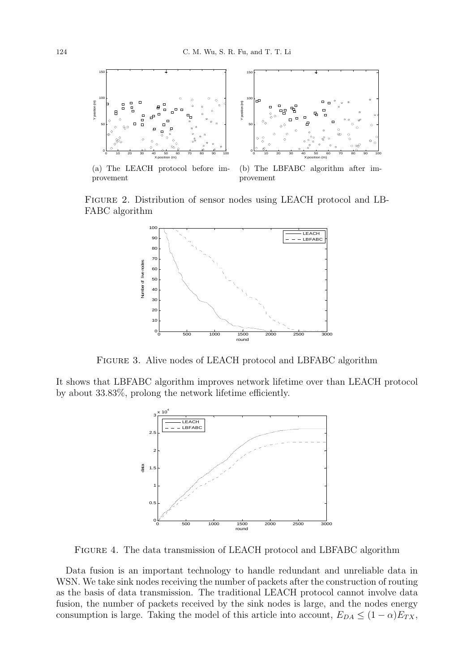

(a) The LEACH protocol before improvement  $\sum_{i=1}^{\infty}$ 



 $\sum_{i=1}^{\infty}$ (b) The LBFABC algorithm after improvement

 Figure 2. Distribution of sensor nodes using LEACH protocol and LB-FABC algorithm



FIGURE 3. Alive nodes of LEACH protocol and LBFABC algorithm

It shows that LBFABC algorithm improves network lifetime over than LEACH protocol by about 33.83%, prolong the network lifetime efficiently.



FIGURE 4. The data transmission of LEACH protocol and LBFABC algorithm

Data fusion is an important technology to handle redundant and unreliable data in WSN. We take sink nodes receiving the number of packets after the construction of routing as the basis of data transmission. The traditional LEACH protocol cannot involve data fusion, the number of packets received by the sink nodes is large, and the nodes energy consumption is large. Taking the model of this article into account,  $E_{DA} \leq (1 - \alpha)E_{TX}$ ,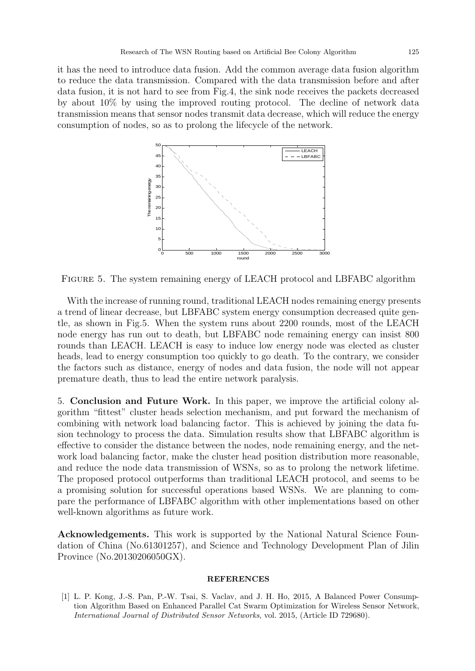it has the need to introduce data fusion. Add the common average data fusion algorithm to reduce the data transmission. Compared with the data transmission before and after data fusion, it is not hard to see from Fig.4, the sink node receives the packets decreased by about 10% by using the improved routing protocol. The decline of network data transmission means that sensor nodes transmit data decrease, which will reduce the energy consumption of nodes, so as to prolong the lifecycle of the network.



Figure 5. The system remaining energy of LEACH protocol and LBFABC algorithm

With the increase of running round, traditional LEACH nodes remaining energy presents a trend of linear decrease, but LBFABC system energy consumption decreased quite gentle, as shown in Fig.5. When the system runs about 2200 rounds, most of the LEACH node energy has run out to death, but LBFABC node remaining energy can insist 800 rounds than LEACH. LEACH is easy to induce low energy node was elected as cluster heads, lead to energy consumption too quickly to go death. To the contrary, we consider the factors such as distance, energy of nodes and data fusion, the node will not appear premature death, thus to lead the entire network paralysis.

5. Conclusion and Future Work. In this paper, we improve the artificial colony algorithm "fittest" cluster heads selection mechanism, and put forward the mechanism of combining with network load balancing factor. This is achieved by joining the data fusion technology to process the data. Simulation results show that LBFABC algorithm is effective to consider the distance between the nodes, node remaining energy, and the network load balancing factor, make the cluster head position distribution more reasonable, and reduce the node data transmission of WSNs, so as to prolong the network lifetime. The proposed protocol outperforms than traditional LEACH protocol, and seems to be a promising solution for successful operations based WSNs. We are planning to compare the performance of LBFABC algorithm with other implementations based on other well-known algorithms as future work.

Acknowledgements. This work is supported by the National Natural Science Foundation of China (No.61301257), and Science and Technology Development Plan of Jilin Province (No.20130206050GX).

## **REFERENCES**

[1] L. P. Kong, J.-S. Pan, P.-W. Tsai, S. Vaclav, and J. H. Ho, 2015, A Balanced Power Consumption Algorithm Based on Enhanced Parallel Cat Swarm Optimization for Wireless Sensor Network, International Journal of Distributed Sensor Networks, vol. 2015, (Article ID 729680).